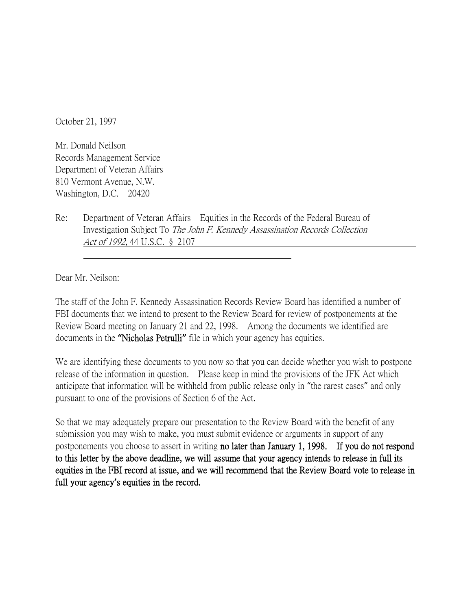October 21, 1997

Mr. Donald Neilson Records Management Service Department of Veteran Affairs 810 Vermont Avenue, N.W. Washington, D.C. 20420

Re: Department of Veteran Affairs Equities in the Records of the Federal Bureau of Investigation Subject To The John F. Kennedy Assassination Records Collection Act of 1992, 44 U.S.C. § 2107

Dear Mr. Neilson:

The staff of the John F. Kennedy Assassination Records Review Board has identified a number of FBI documents that we intend to present to the Review Board for review of postponements at the Review Board meeting on January 21 and 22, 1998. Among the documents we identified are documents in the **"**Nicholas Petrulli**"** file in which your agency has equities.

We are identifying these documents to you now so that you can decide whether you wish to postpone release of the information in question. Please keep in mind the provisions of the JFK Act which anticipate that information will be withheld from public release only in "the rarest cases" and only pursuant to one of the provisions of Section 6 of the Act.

So that we may adequately prepare our presentation to the Review Board with the benefit of any submission you may wish to make, you must submit evidence or arguments in support of any postponements you choose to assert in writing no later than January 1, 1998. If you do not respond to this letter by the above deadline, we will assume that your agency intends to release in full its equities in the FBI record at issue, and we will recommend that the Review Board vote to release in full your agency**'**s equities in the record.